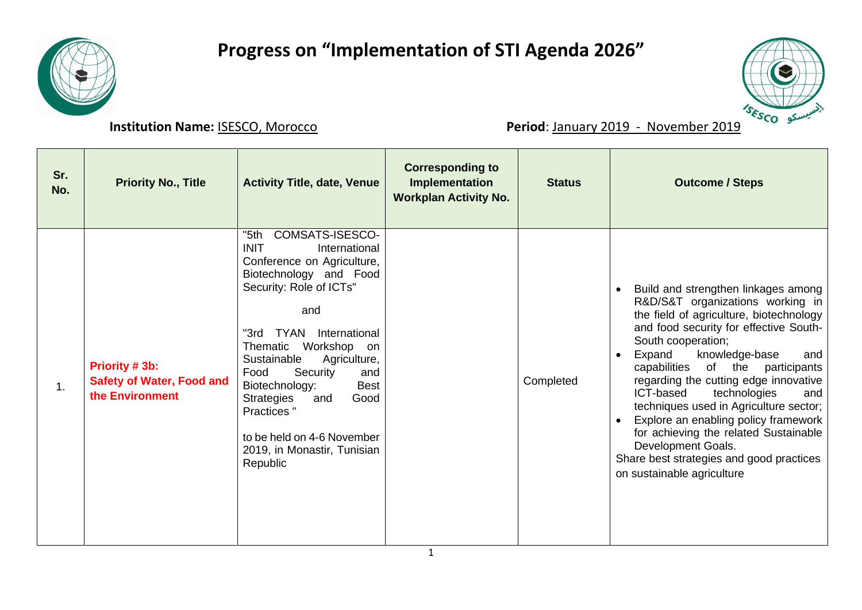

## **Progress on "Implementation of STI Agenda 2026"**



**Institution Name:** <u>ISESCO, Morocco</u> **Period**: January 2019 - November 2019

| Sr.<br>No. | <b>Priority No., Title</b>                                            | <b>Activity Title, date, Venue</b>                                                                                                                                                                                                                                                                                                                                                                                                  | <b>Corresponding to</b><br>Implementation<br><b>Workplan Activity No.</b> | <b>Status</b> | <b>Outcome / Steps</b>                                                                                                                                                                                                                                                                                                                                                                                                                                                                                                                                                               |
|------------|-----------------------------------------------------------------------|-------------------------------------------------------------------------------------------------------------------------------------------------------------------------------------------------------------------------------------------------------------------------------------------------------------------------------------------------------------------------------------------------------------------------------------|---------------------------------------------------------------------------|---------------|--------------------------------------------------------------------------------------------------------------------------------------------------------------------------------------------------------------------------------------------------------------------------------------------------------------------------------------------------------------------------------------------------------------------------------------------------------------------------------------------------------------------------------------------------------------------------------------|
| 1.         | Priority # 3b:<br><b>Safety of Water, Food and</b><br>the Environment | COMSATS-ISESCO-<br>"5th<br><b>INIT</b><br>International<br>Conference on Agriculture,<br>Biotechnology and Food<br>Security: Role of ICTs"<br>and<br><b>TYAN</b> International<br>"3rd<br>Workshop<br>Thematic<br>on<br>Agriculture,<br>Sustainable<br>Food<br>Security<br>and<br>Biotechnology:<br><b>Best</b><br>Strategies<br>Good<br>and<br>Practices"<br>to be held on 4-6 November<br>2019, in Monastir, Tunisian<br>Republic |                                                                           | Completed     | Build and strengthen linkages among<br>R&D/S&T organizations working in<br>the field of agriculture, biotechnology<br>and food security for effective South-<br>South cooperation;<br>Expand<br>knowledge-base<br>and<br>$\bullet$<br>capabilities<br>of the<br>participants<br>regarding the cutting edge innovative<br>ICT-based<br>technologies<br>and<br>techniques used in Agriculture sector;<br>Explore an enabling policy framework<br>for achieving the related Sustainable<br>Development Goals.<br>Share best strategies and good practices<br>on sustainable agriculture |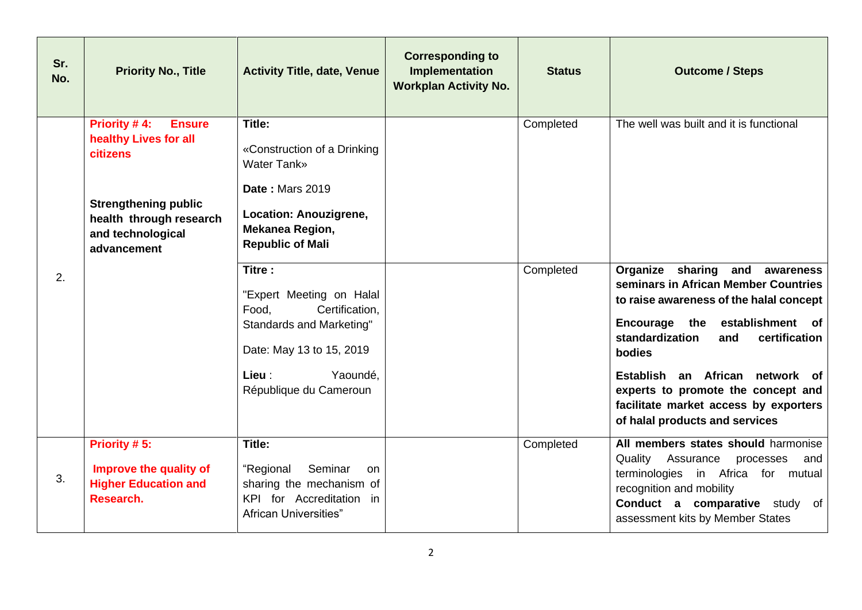| Sr.<br>No. | <b>Priority No., Title</b>                                                                                                                                              | <b>Activity Title, date, Venue</b>                                                                                                                                                                                                                                                                                                            | <b>Corresponding to</b><br>Implementation<br><b>Workplan Activity No.</b> | <b>Status</b>          | <b>Outcome / Steps</b>                                                                                                                                                                                                                                                                                                                                                                                     |
|------------|-------------------------------------------------------------------------------------------------------------------------------------------------------------------------|-----------------------------------------------------------------------------------------------------------------------------------------------------------------------------------------------------------------------------------------------------------------------------------------------------------------------------------------------|---------------------------------------------------------------------------|------------------------|------------------------------------------------------------------------------------------------------------------------------------------------------------------------------------------------------------------------------------------------------------------------------------------------------------------------------------------------------------------------------------------------------------|
| 2.         | Priority #4:<br><b>Ensure</b><br>healthy Lives for all<br><b>citizens</b><br><b>Strengthening public</b><br>health through research<br>and technological<br>advancement | Title:<br>«Construction of a Drinking<br><b>Water Tank»</b><br><b>Date: Mars 2019</b><br>Location: Anouzigrene,<br>Mekanea Region,<br><b>Republic of Mali</b><br>Titre:<br>"Expert Meeting on Halal<br>Certification,<br>Food,<br><b>Standards and Marketing"</b><br>Date: May 13 to 15, 2019<br>Lieu :<br>Yaoundé,<br>République du Cameroun |                                                                           | Completed<br>Completed | The well was built and it is functional<br>Organize sharing and awareness<br>seminars in African Member Countries<br>to raise awareness of the halal concept<br>Encourage the<br>establishment of<br>standardization<br>certification<br>and<br>bodies<br>Establish an African network of<br>experts to promote the concept and<br>facilitate market access by exporters<br>of halal products and services |
| 3.         | Priority #5:<br>Improve the quality of<br><b>Higher Education and</b><br>Research.                                                                                      | Title:<br>Seminar<br>"Regional<br>on.<br>sharing the mechanism of<br>KPI for Accreditation in<br><b>African Universities"</b>                                                                                                                                                                                                                 |                                                                           | Completed              | All members states should harmonise<br>Quality<br>Assurance<br>processes<br>and<br>terminologies in Africa for mutual<br>recognition and mobility<br>Conduct a comparative study of<br>assessment kits by Member States                                                                                                                                                                                    |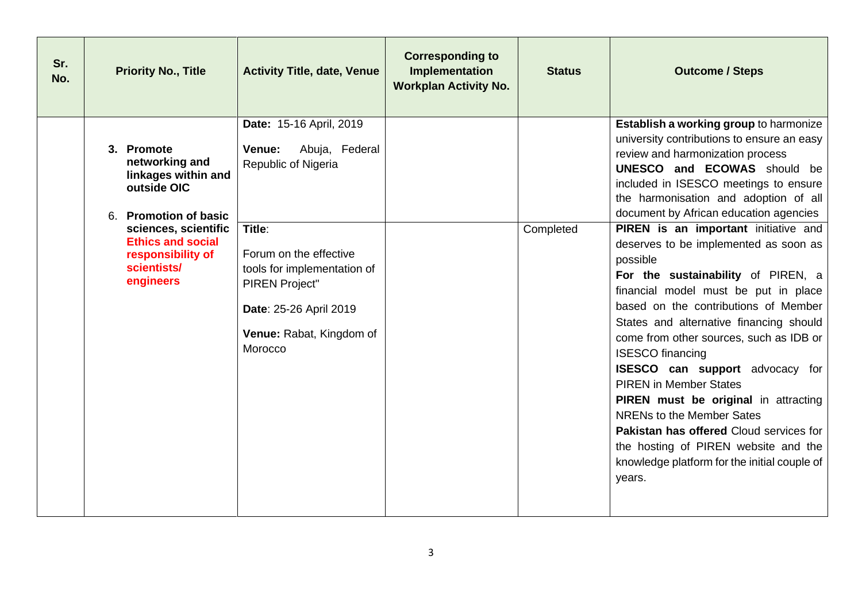| Sr.<br>No. | <b>Priority No., Title</b>                                                                        | <b>Activity Title, date, Venue</b>                                                                                                                        | <b>Corresponding to</b><br>Implementation<br><b>Workplan Activity No.</b> | <b>Status</b> | <b>Outcome / Steps</b>                                                                                                                                                                                                                                                                                                                                                                                                                                                                                                                                                                                                                             |
|------------|---------------------------------------------------------------------------------------------------|-----------------------------------------------------------------------------------------------------------------------------------------------------------|---------------------------------------------------------------------------|---------------|----------------------------------------------------------------------------------------------------------------------------------------------------------------------------------------------------------------------------------------------------------------------------------------------------------------------------------------------------------------------------------------------------------------------------------------------------------------------------------------------------------------------------------------------------------------------------------------------------------------------------------------------------|
|            | 3. Promote<br>networking and<br>linkages within and<br>outside OIC<br>6. Promotion of basic       | Date: 15-16 April, 2019<br>Abuja, Federal<br>Venue:<br>Republic of Nigeria                                                                                |                                                                           |               | <b>Establish a working group to harmonize</b><br>university contributions to ensure an easy<br>review and harmonization process<br><b>UNESCO</b> and <b>ECOWAS</b> should be<br>included in ISESCO meetings to ensure<br>the harmonisation and adoption of all<br>document by African education agencies                                                                                                                                                                                                                                                                                                                                           |
|            | sciences, scientific<br><b>Ethics and social</b><br>responsibility of<br>scientists/<br>engineers | Title:<br>Forum on the effective<br>tools for implementation of<br><b>PIREN Project"</b><br>Date: 25-26 April 2019<br>Venue: Rabat, Kingdom of<br>Morocco |                                                                           | Completed     | PIREN is an important initiative and<br>deserves to be implemented as soon as<br>possible<br>For the sustainability of PIREN, a<br>financial model must be put in place<br>based on the contributions of Member<br>States and alternative financing should<br>come from other sources, such as IDB or<br><b>ISESCO</b> financing<br><b>ISESCO</b> can support advocacy for<br><b>PIREN</b> in Member States<br><b>PIREN</b> must be original in attracting<br><b>NRENs to the Member Sates</b><br><b>Pakistan has offered Cloud services for</b><br>the hosting of PIREN website and the<br>knowledge platform for the initial couple of<br>years. |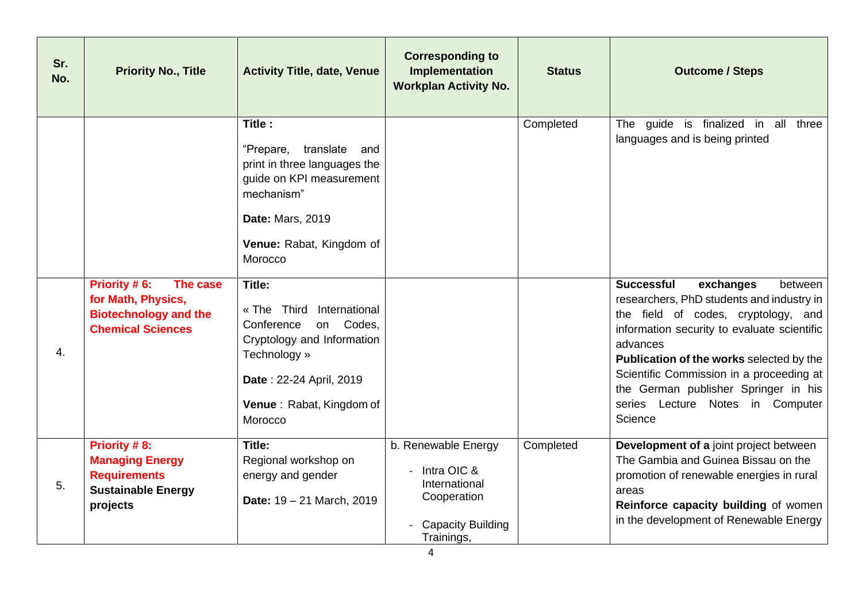| Sr.<br>No. | <b>Priority No., Title</b>                                                                             | <b>Activity Title, date, Venue</b>                                                                                                                                                                                         | <b>Corresponding to</b><br>Implementation<br><b>Workplan Activity No.</b>                                    | <b>Status</b> | <b>Outcome / Steps</b>                                                                                                                                                                                                                 |
|------------|--------------------------------------------------------------------------------------------------------|----------------------------------------------------------------------------------------------------------------------------------------------------------------------------------------------------------------------------|--------------------------------------------------------------------------------------------------------------|---------------|----------------------------------------------------------------------------------------------------------------------------------------------------------------------------------------------------------------------------------------|
|            | Priority #6:<br>The case<br>for Math, Physics,<br><b>Biotechnology and the</b>                         | Title:<br>"Prepare, translate<br>and<br>print in three languages the<br>guide on KPI measurement<br>mechanism"<br><b>Date: Mars, 2019</b><br>Venue: Rabat, Kingdom of<br>Morocco<br>Title:<br>« The Third<br>International |                                                                                                              | Completed     | The guide is finalized in all<br>three<br>languages and is being printed<br><b>Successful</b><br>exchanges<br>between<br>researchers, PhD students and industry in<br>the field of codes, cryptology, and                              |
| 4.         | <b>Chemical Sciences</b>                                                                               | Codes,<br>Conference<br>on<br>Cryptology and Information<br>Technology »<br>Date: 22-24 April, 2019<br>Venue: Rabat, Kingdom of<br>Morocco                                                                                 |                                                                                                              |               | information security to evaluate scientific<br>advances<br>Publication of the works selected by the<br>Scientific Commission in a proceeding at<br>the German publisher Springer in his<br>series Lecture Notes in Computer<br>Science |
| 5.         | Priority #8:<br><b>Managing Energy</b><br><b>Requirements</b><br><b>Sustainable Energy</b><br>projects | Title:<br>Regional workshop on<br>energy and gender<br>Date: 19 - 21 March, 2019                                                                                                                                           | b. Renewable Energy<br>Intra OIC &<br>International<br>Cooperation<br><b>Capacity Building</b><br>Trainings, | Completed     | Development of a joint project between<br>The Gambia and Guinea Bissau on the<br>promotion of renewable energies in rural<br>areas<br>Reinforce capacity building of women<br>in the development of Renewable Energy                   |